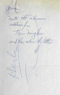Jeorge note the alumn The Ming Hu and they return the letter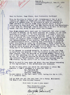Muniah. 2, Prinz-Ludwig-Str.8, Dec.15, 1958 Germany *-rt2\_* 

Dear Mr Farmer, dear Glenn, dear Fraternity Brothers!

*()* 

This is the time to think of all friendonear & far, & so I finally get myself to thank you for your various letters & notes & to answer them. It is always so nice to recieve the NEWS LETTER & to have at least some contact still. I hope everything is fine with you, the IKA Charter & all the Department. I also wish Mr. Mehring's health improved, & he will be allright again. Was very sorry to hear ebout his illness.

Your Notes always still were sent to Frankfurt, but over a year I'm back to Munich, at my above address. So please, if you send anything more, mail it to this address. I thought I told you in a former letter I returned to Munich, now  $1 \frac{1}{2}$  years ago. Here at Munich I'm also working with TV, though in a different field: not anymore youth & women's programs, but sunervising the telerecordings of our station. That is a lot of technical & administrative stuff, watshing that everything is going OK until everything is ready for re-showing. - Since recently we do experiments with the AMPEX tape-recording system too. It is note yet quite as good as we went it & it should be.- the whole thing has to be adjusted to German voltage etc.

TV in Germany is growing steadily, in spite of the fact that we have only one me twork, & all the station contribute to the same program. Also the Program is extended slowly. There is a lot of film shooting for it, as well as live castings, & films we buy. One Sunday afternoons we started with some films  $\mathbf{af}$ the favourite •Fury"-series, that is a great success also in this country. We buy quite a lot of films from the USA.

Would be good to hear some day so out the new things happening at the Deptartment, & the experiments you continue.

In one of your notes you asked for addresses of other IKA members. I don't remember if I gave you that of Mr. Tsu-Ming Hu this

81 Kadoorie Ave. Kawloon, HONG KONG.

He was member of the Den. until 1952, taking his BA in 1951, if I remember well.

Let me wish you all the very best for a Harpy, Successful New Year & all this Holiday Season!

Good luck to you & your work!

Very sincerely yours, (fraternity-sister)

Brigille Reines